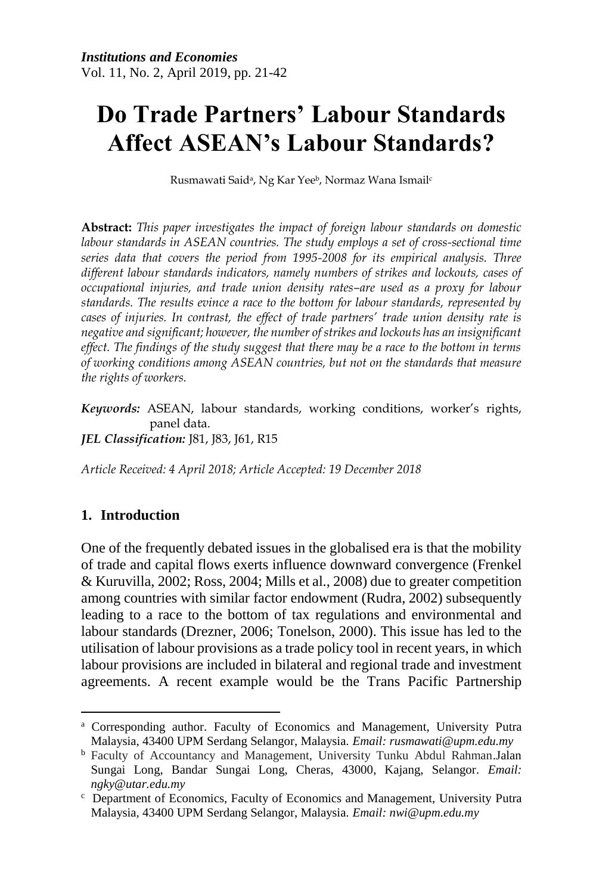# **Do Trade Partners' Labour Standards Affect ASEAN's Labour Standards?**

Rusmawati Saidª, Ng Kar Yee♭, Normaz Wana Ismail<sup>e</sup>

**Abstract:** *This paper investigates the impact of foreign labour standards on domestic labour standards in ASEAN countries. The study employs a set of cross-sectional time series data that covers the period from 1995-2008 for its empirical analysis. Three different labour standards indicators, namely numbers of strikes and lockouts, cases of occupational injuries, and trade union density rates–are used as a proxy for labour standards. The results evince a race to the bottom for labour standards, represented by cases of injuries. In contrast, the effect of trade partners' trade union density rate is negative and significant; however, the number of strikes and lockouts has an insignificant effect. The findings of the study suggest that there may be a race to the bottom in terms of working conditions among ASEAN countries, but not on the standards that measure the rights of workers.*

*Keywords:* ASEAN, labour standards, working conditions, worker's rights, panel data. *JEL Classification:* J81, J83, J61, R15

*Article Received: 4 April 2018; Article Accepted: 19 December 2018*

## **1. Introduction**

One of the frequently debated issues in the globalised era is that the mobility of trade and capital flows exerts influence downward convergence (Frenkel & Kuruvilla, 2002; Ross, 2004; Mills et al., 2008) due to greater competition among countries with similar factor endowment (Rudra, 2002) subsequently leading to a race to the bottom of tax regulations and environmental and labour standards (Drezner, 2006; Tonelson, 2000). This issue has led to the utilisation of labour provisions as a trade policy tool in recent years, in which labour provisions are included in bilateral and regional trade and investment agreements. A recent example would be the Trans Pacific Partnership

 $\overline{a}$ <sup>a</sup> Corresponding author. Faculty of Economics and Management, University Putra Malaysia, 43400 UPM Serdang Selangor, Malaysia. *Email: rusmawati@upm.edu.my*

<sup>b</sup> Faculty of Accountancy and Management, University Tunku Abdul Rahman.Jalan Sungai Long, Bandar Sungai Long, Cheras, 43000, Kajang, Selangor. *Email: ngky@utar.edu.my*

 $c$  Department of Economics, Faculty of Economics and Management, University Putra Malaysia, 43400 UPM Serdang Selangor, Malaysia. *Email: nwi@upm.edu.my*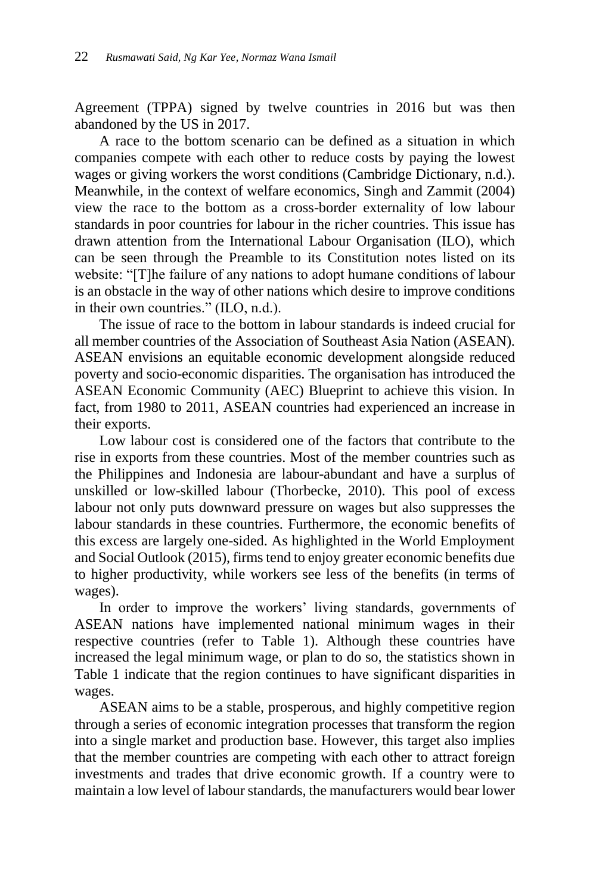Agreement (TPPA) signed by twelve countries in 2016 but was then abandoned by the US in 2017.

A race to the bottom scenario can be defined as a situation in which companies compete with each other to reduce costs by paying the lowest wages or giving workers the worst conditions (Cambridge Dictionary, n.d.). Meanwhile, in the context of welfare economics, Singh and Zammit (2004) view the race to the bottom as a cross-border externality of low labour standards in poor countries for labour in the richer countries. This issue has drawn attention from the International Labour Organisation (ILO), which can be seen through the Preamble to its Constitution notes listed on its website: "[T]he failure of any nations to adopt humane conditions of labour is an obstacle in the way of other nations which desire to improve conditions in their own countries." (ILO, n.d.).

The issue of race to the bottom in labour standards is indeed crucial for all member countries of the Association of Southeast Asia Nation (ASEAN). ASEAN envisions an equitable economic development alongside reduced poverty and socio-economic disparities. The organisation has introduced the ASEAN Economic Community (AEC) Blueprint to achieve this vision. In fact, from 1980 to 2011, ASEAN countries had experienced an increase in their exports.

Low labour cost is considered one of the factors that contribute to the rise in exports from these countries. Most of the member countries such as the Philippines and Indonesia are labour-abundant and have a surplus of unskilled or low-skilled labour (Thorbecke, 2010). This pool of excess labour not only puts downward pressure on wages but also suppresses the labour standards in these countries. Furthermore, the economic benefits of this excess are largely one-sided. As highlighted in the World Employment and Social Outlook (2015), firms tend to enjoy greater economic benefits due to higher productivity, while workers see less of the benefits (in terms of wages).

In order to improve the workers' living standards, governments of ASEAN nations have implemented national minimum wages in their respective countries (refer to Table 1). Although these countries have increased the legal minimum wage, or plan to do so, the statistics shown in Table 1 indicate that the region continues to have significant disparities in wages.

ASEAN aims to be a stable, prosperous, and highly competitive region through a series of economic integration processes that transform the region into a single market and production base. However, this target also implies that the member countries are competing with each other to attract foreign investments and trades that drive economic growth. If a country were to maintain a low level of labour standards, the manufacturers would bear lower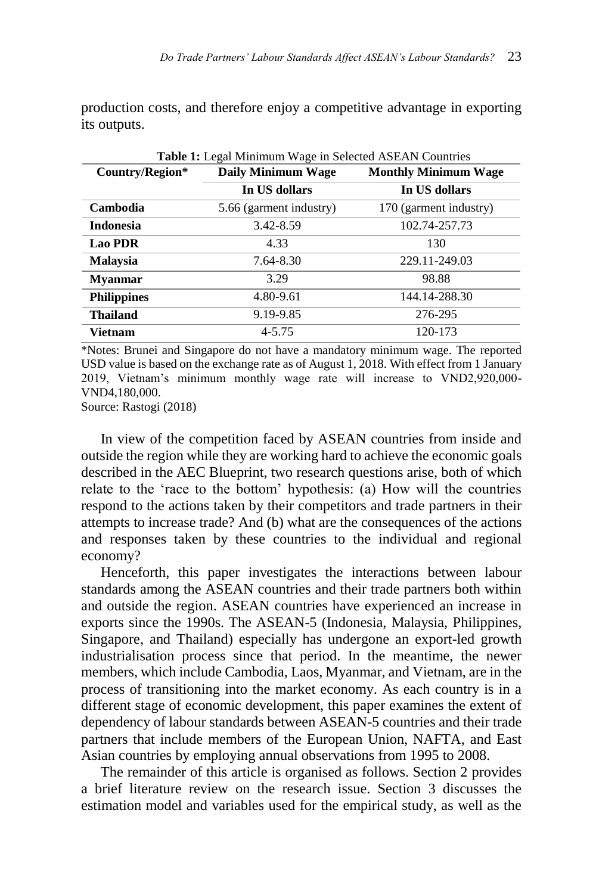production costs, and therefore enjoy a competitive advantage in exporting its outputs.

| <b>Table 1:</b> Legal Minimum Wage in Selected ASEAN Countries |                                                          |                        |  |  |
|----------------------------------------------------------------|----------------------------------------------------------|------------------------|--|--|
| Country/Region*                                                | <b>Monthly Minimum Wage</b><br><b>Daily Minimum Wage</b> |                        |  |  |
|                                                                | In US dollars                                            | In US dollars          |  |  |
| Cambodia                                                       | 5.66 (garment industry)                                  | 170 (garment industry) |  |  |
| <b>Indonesia</b>                                               | 3.42-8.59                                                | 102.74-257.73          |  |  |
| <b>Lao PDR</b>                                                 | 4.33                                                     | 130                    |  |  |
| <b>Malaysia</b>                                                | 7.64-8.30                                                | 229.11-249.03          |  |  |
| <b>Mvanmar</b>                                                 | 3.29                                                     | 98.88                  |  |  |
| <b>Philippines</b>                                             | 4.80-9.61                                                | 144.14-288.30          |  |  |
| <b>Thailand</b>                                                | 9.19-9.85                                                | 276-295                |  |  |
| Vietnam                                                        | $4 - 5.75$                                               | 120-173                |  |  |

\*Notes: Brunei and Singapore do not have a mandatory minimum wage. The reported USD value is based on the exchange rate as of August 1, 2018. With effect from 1 January 2019, Vietnam's minimum monthly wage rate will increase to VND2,920,000- VND4,180,000.

Source: Rastogi (2018)

In view of the competition faced by ASEAN countries from inside and outside the region while they are working hard to achieve the economic goals described in the AEC Blueprint, two research questions arise, both of which relate to the 'race to the bottom' hypothesis: (a) How will the countries respond to the actions taken by their competitors and trade partners in their attempts to increase trade? And (b) what are the consequences of the actions and responses taken by these countries to the individual and regional economy?

Henceforth, this paper investigates the interactions between labour standards among the ASEAN countries and their trade partners both within and outside the region. ASEAN countries have experienced an increase in exports since the 1990s. The ASEAN-5 (Indonesia, Malaysia, Philippines, Singapore, and Thailand) especially has undergone an export-led growth industrialisation process since that period. In the meantime, the newer members, which include Cambodia, Laos, Myanmar, and Vietnam, are in the process of transitioning into the market economy. As each country is in a different stage of economic development, this paper examines the extent of dependency of labour standards between ASEAN-5 countries and their trade partners that include members of the European Union, NAFTA, and East Asian countries by employing annual observations from 1995 to 2008.

The remainder of this article is organised as follows. Section 2 provides a brief literature review on the research issue. Section 3 discusses the estimation model and variables used for the empirical study, as well as the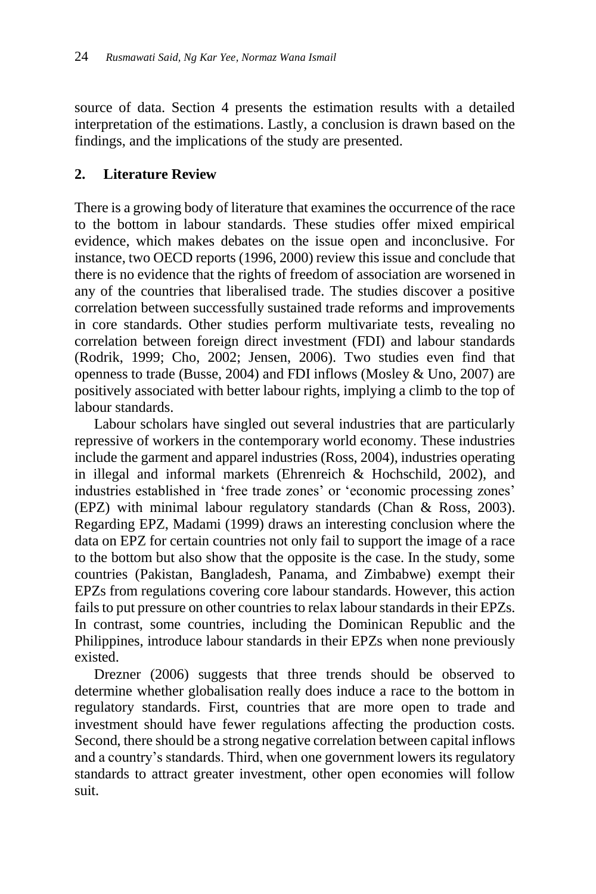source of data. Section 4 presents the estimation results with a detailed interpretation of the estimations. Lastly, a conclusion is drawn based on the findings, and the implications of the study are presented.

# **2. Literature Review**

There is a growing body of literature that examines the occurrence of the race to the bottom in labour standards. These studies offer mixed empirical evidence, which makes debates on the issue open and inconclusive. For instance, two OECD reports (1996, 2000) review this issue and conclude that there is no evidence that the rights of freedom of association are worsened in any of the countries that liberalised trade. The studies discover a positive correlation between successfully sustained trade reforms and improvements in core standards. Other studies perform multivariate tests, revealing no correlation between foreign direct investment (FDI) and labour standards (Rodrik, 1999; Cho, 2002; Jensen, 2006). Two studies even find that openness to trade (Busse, 2004) and FDI inflows (Mosley & Uno, 2007) are positively associated with better labour rights, implying a climb to the top of labour standards.

Labour scholars have singled out several industries that are particularly repressive of workers in the contemporary world economy. These industries include the garment and apparel industries (Ross, 2004), industries operating in illegal and informal markets (Ehrenreich & Hochschild, 2002), and industries established in 'free trade zones' or 'economic processing zones' (EPZ) with minimal labour regulatory standards (Chan & Ross, 2003). Regarding EPZ, Madami (1999) draws an interesting conclusion where the data on EPZ for certain countries not only fail to support the image of a race to the bottom but also show that the opposite is the case. In the study, some countries (Pakistan, Bangladesh, Panama, and Zimbabwe) exempt their EPZs from regulations covering core labour standards. However, this action fails to put pressure on other countries to relax labour standards in their EPZs. In contrast, some countries, including the Dominican Republic and the Philippines, introduce labour standards in their EPZs when none previously existed.

Drezner (2006) suggests that three trends should be observed to determine whether globalisation really does induce a race to the bottom in regulatory standards. First, countries that are more open to trade and investment should have fewer regulations affecting the production costs. Second, there should be a strong negative correlation between capital inflows and a country's standards. Third, when one government lowers its regulatory standards to attract greater investment, other open economies will follow suit.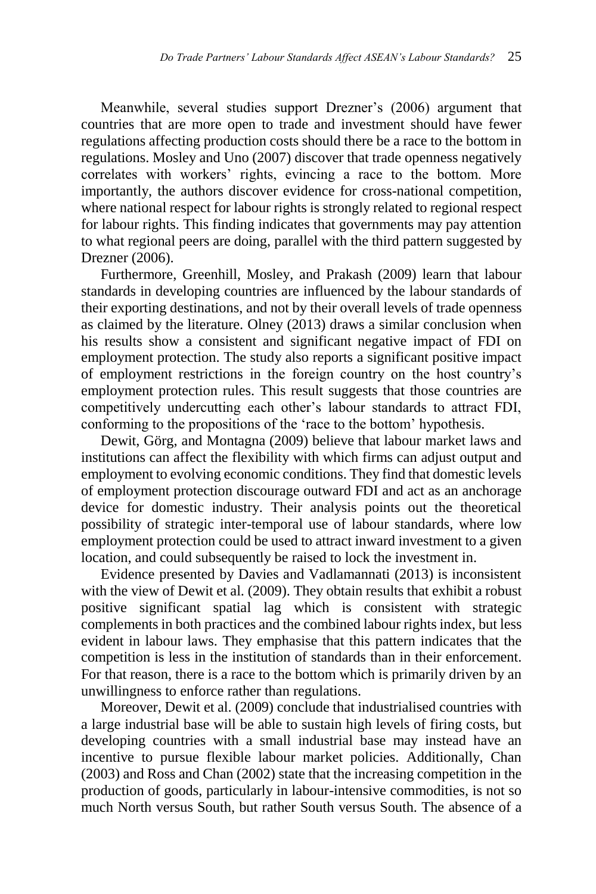Meanwhile, several studies support Drezner's (2006) argument that countries that are more open to trade and investment should have fewer regulations affecting production costs should there be a race to the bottom in regulations. Mosley and Uno (2007) discover that trade openness negatively correlates with workers' rights, evincing a race to the bottom. More importantly, the authors discover evidence for cross-national competition, where national respect for labour rights is strongly related to regional respect for labour rights. This finding indicates that governments may pay attention to what regional peers are doing, parallel with the third pattern suggested by Drezner (2006).

Furthermore, Greenhill, Mosley, and Prakash (2009) learn that labour standards in developing countries are influenced by the labour standards of their exporting destinations, and not by their overall levels of trade openness as claimed by the literature. Olney (2013) draws a similar conclusion when his results show a consistent and significant negative impact of FDI on employment protection. The study also reports a significant positive impact of employment restrictions in the foreign country on the host country's employment protection rules. This result suggests that those countries are competitively undercutting each other's labour standards to attract FDI, conforming to the propositions of the 'race to the bottom' hypothesis.

Dewit, Görg, and Montagna (2009) believe that labour market laws and institutions can affect the flexibility with which firms can adjust output and employment to evolving economic conditions. They find that domestic levels of employment protection discourage outward FDI and act as an anchorage device for domestic industry. Their analysis points out the theoretical possibility of strategic inter-temporal use of labour standards, where low employment protection could be used to attract inward investment to a given location, and could subsequently be raised to lock the investment in.

Evidence presented by Davies and Vadlamannati (2013) is inconsistent with the view of Dewit et al. (2009). They obtain results that exhibit a robust positive significant spatial lag which is consistent with strategic complements in both practices and the combined labour rights index, but less evident in labour laws. They emphasise that this pattern indicates that the competition is less in the institution of standards than in their enforcement. For that reason, there is a race to the bottom which is primarily driven by an unwillingness to enforce rather than regulations.

Moreover, Dewit et al. (2009) conclude that industrialised countries with a large industrial base will be able to sustain high levels of firing costs, but developing countries with a small industrial base may instead have an incentive to pursue flexible labour market policies. Additionally, Chan (2003) and Ross and Chan (2002) state that the increasing competition in the production of goods, particularly in labour-intensive commodities, is not so much North versus South, but rather South versus South. The absence of a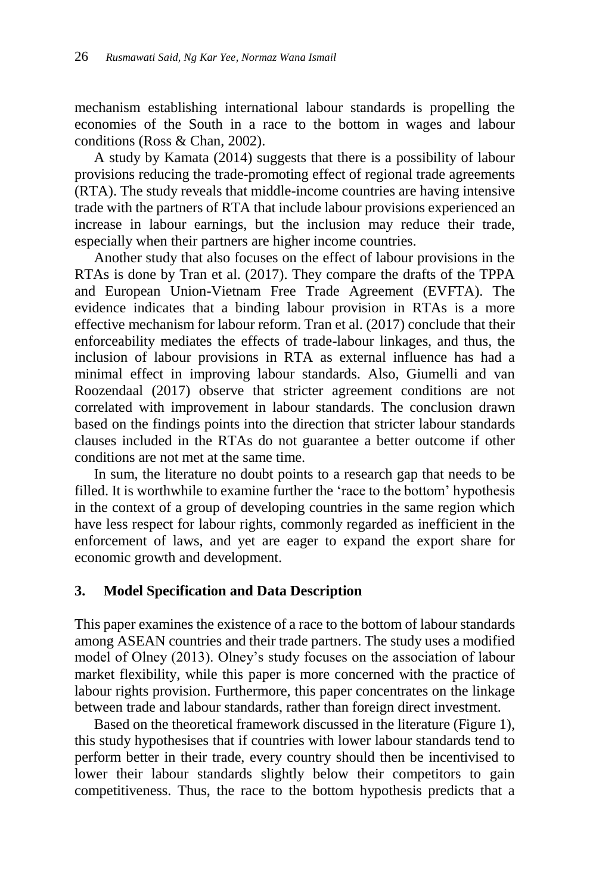mechanism establishing international labour standards is propelling the economies of the South in a race to the bottom in wages and labour conditions (Ross & Chan, 2002).

A study by Kamata (2014) suggests that there is a possibility of labour provisions reducing the trade-promoting effect of regional trade agreements (RTA). The study reveals that middle-income countries are having intensive trade with the partners of RTA that include labour provisions experienced an increase in labour earnings, but the inclusion may reduce their trade, especially when their partners are higher income countries.

Another study that also focuses on the effect of labour provisions in the RTAs is done by Tran et al. (2017). They compare the drafts of the TPPA and European Union-Vietnam Free Trade Agreement (EVFTA). The evidence indicates that a binding labour provision in RTAs is a more effective mechanism for labour reform. Tran et al. (2017) conclude that their enforceability mediates the effects of trade-labour linkages, and thus, the inclusion of labour provisions in RTA as external influence has had a minimal effect in improving labour standards. Also, Giumelli and van Roozendaal (2017) observe that stricter agreement conditions are not correlated with improvement in labour standards. The conclusion drawn based on the findings points into the direction that stricter labour standards clauses included in the RTAs do not guarantee a better outcome if other conditions are not met at the same time.

In sum, the literature no doubt points to a research gap that needs to be filled. It is worthwhile to examine further the 'race to the bottom' hypothesis in the context of a group of developing countries in the same region which have less respect for labour rights, commonly regarded as inefficient in the enforcement of laws, and yet are eager to expand the export share for economic growth and development.

### **3. Model Specification and Data Description**

This paper examines the existence of a race to the bottom of labour standards among ASEAN countries and their trade partners. The study uses a modified model of Olney (2013). Olney's study focuses on the association of labour market flexibility, while this paper is more concerned with the practice of labour rights provision. Furthermore, this paper concentrates on the linkage between trade and labour standards, rather than foreign direct investment.

Based on the theoretical framework discussed in the literature (Figure 1), this study hypothesises that if countries with lower labour standards tend to perform better in their trade, every country should then be incentivised to lower their labour standards slightly below their competitors to gain competitiveness. Thus, the race to the bottom hypothesis predicts that a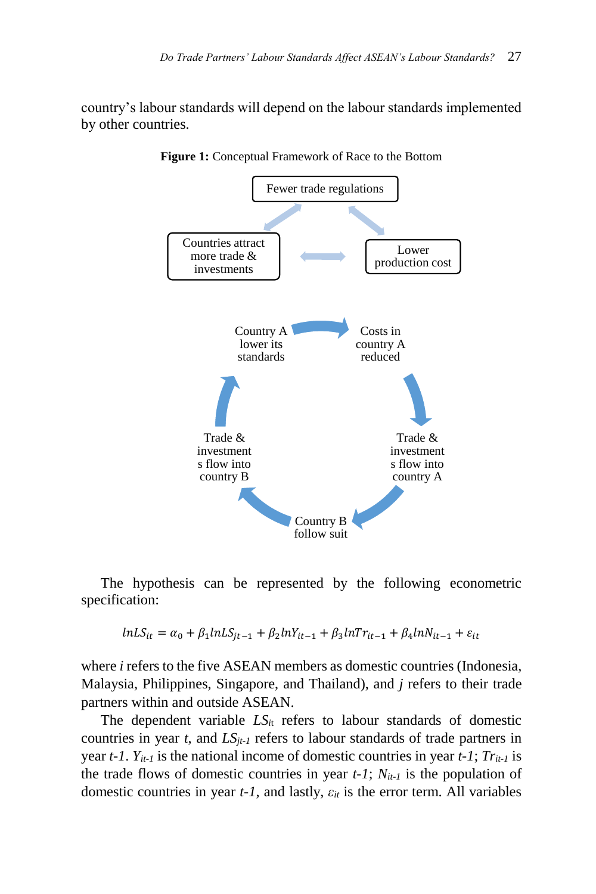country's labour standards will depend on the labour standards implemented by other countries.



**Figure 1:** Conceptual Framework of Race to the Bottom

The hypothesis can be represented by the following econometric specification:

$$
lnLS_{it} = \alpha_0 + \beta_1 lnLS_{jt-1} + \beta_2 lnY_{it-1} + \beta_3 lnTr_{it-1} + \beta_4 lnN_{it-1} + \varepsilon_{it}
$$

where *i* refers to the five ASEAN members as domestic countries (Indonesia, Malaysia, Philippines, Singapore, and Thailand), and *j* refers to their trade partners within and outside ASEAN.

The dependent variable  $LS<sub>it</sub>$  refers to labour standards of domestic countries in year  $t$ , and  $LS_{jt-1}$  refers to labour standards of trade partners in year  $t$ -1.  $Y_{it-1}$  is the national income of domestic countries in year  $t$ -1;  $Tr_{it-1}$  is the trade flows of domestic countries in year *t-1*; *Nit-1* is the population of domestic countries in year *t-1*, and lastly, *εit* is the error term. All variables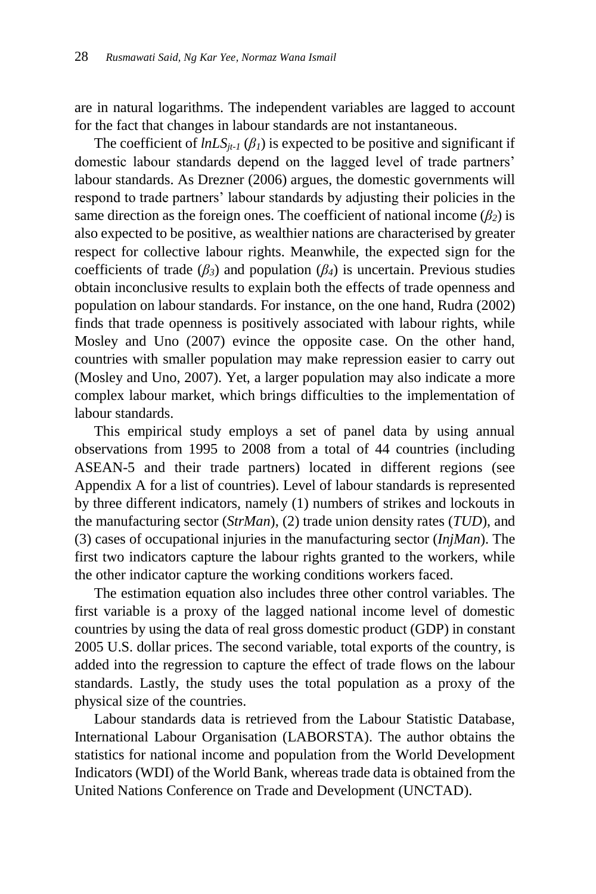are in natural logarithms. The independent variables are lagged to account for the fact that changes in labour standards are not instantaneous.

The coefficient of  $lnLS_{it-1}$  ( $\beta$ <sub>*l*</sub>) is expected to be positive and significant if domestic labour standards depend on the lagged level of trade partners' labour standards. As Drezner (2006) argues, the domestic governments will respond to trade partners' labour standards by adjusting their policies in the same direction as the foreign ones. The coefficient of national income  $(\beta_2)$  is also expected to be positive, as wealthier nations are characterised by greater respect for collective labour rights. Meanwhile, the expected sign for the coefficients of trade  $(\beta_3)$  and population  $(\beta_4)$  is uncertain. Previous studies obtain inconclusive results to explain both the effects of trade openness and population on labour standards. For instance, on the one hand, Rudra (2002) finds that trade openness is positively associated with labour rights, while Mosley and Uno (2007) evince the opposite case. On the other hand, countries with smaller population may make repression easier to carry out (Mosley and Uno, 2007). Yet, a larger population may also indicate a more complex labour market, which brings difficulties to the implementation of labour standards.

This empirical study employs a set of panel data by using annual observations from 1995 to 2008 from a total of 44 countries (including ASEAN-5 and their trade partners) located in different regions (see Appendix A for a list of countries). Level of labour standards is represented by three different indicators, namely (1) numbers of strikes and lockouts in the manufacturing sector (*StrMan*), (2) trade union density rates (*TUD*), and (3) cases of occupational injuries in the manufacturing sector (*InjMan*). The first two indicators capture the labour rights granted to the workers, while the other indicator capture the working conditions workers faced.

The estimation equation also includes three other control variables. The first variable is a proxy of the lagged national income level of domestic countries by using the data of real gross domestic product (GDP) in constant 2005 U.S. dollar prices. The second variable, total exports of the country, is added into the regression to capture the effect of trade flows on the labour standards. Lastly, the study uses the total population as a proxy of the physical size of the countries.

Labour standards data is retrieved from the Labour Statistic Database, International Labour Organisation (LABORSTA). The author obtains the statistics for national income and population from the World Development Indicators (WDI) of the World Bank, whereas trade data is obtained from the United Nations Conference on Trade and Development (UNCTAD).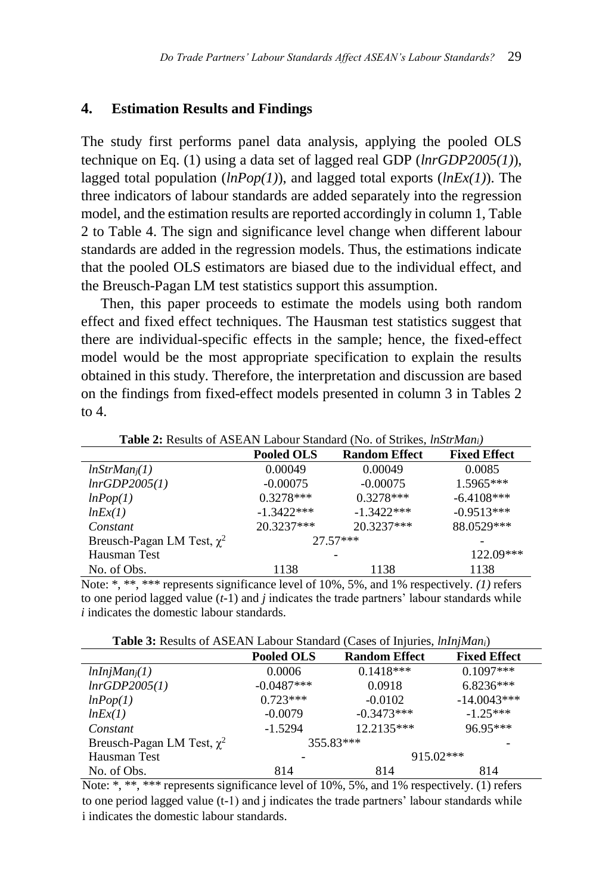#### **4. Estimation Results and Findings**

The study first performs panel data analysis, applying the pooled OLS technique on Eq. (1) using a data set of lagged real GDP (*lnrGDP2005(1)*), lagged total population (*lnPop(1)*), and lagged total exports (*lnEx(1)*). The three indicators of labour standards are added separately into the regression model, and the estimation results are reported accordingly in column 1, Table 2 to Table 4. The sign and significance level change when different labour standards are added in the regression models. Thus, the estimations indicate that the pooled OLS estimators are biased due to the individual effect, and the Breusch-Pagan LM test statistics support this assumption.

Then, this paper proceeds to estimate the models using both random effect and fixed effect techniques. The Hausman test statistics suggest that there are individual-specific effects in the sample; hence, the fixed-effect model would be the most appropriate specification to explain the results obtained in this study. Therefore, the interpretation and discussion are based on the findings from fixed-effect models presented in column 3 in Tables 2 to  $4$ .

| <b>Table 2.</b> Kesulis of Tibel in Eabour Blandard (130, 01 Blines, <i>mpu mum</i> |                   |                      |                     |  |
|-------------------------------------------------------------------------------------|-------------------|----------------------|---------------------|--|
|                                                                                     | <b>Pooled OLS</b> | <b>Random Effect</b> | <b>Fixed Effect</b> |  |
| $lnStrMan_i(1)$                                                                     | 0.00049           | 0.00049              | 0.0085              |  |
| lnrGDP2005(1)                                                                       | $-0.00075$        | $-0.00075$           | 1.5965***           |  |
| lnPop(1)                                                                            | $0.3278***$       | $0.3278***$          | $-6.4108***$        |  |
| lnEx(1)                                                                             | $-1.3422***$      | $-1.3422***$         | $-0.9513***$        |  |
| Constant                                                                            | 20.3237***        | 20.3237***           | 88.0529***          |  |
| Breusch-Pagan LM Test, $\chi^2$                                                     |                   | $27.57***$           |                     |  |
| Hausman Test                                                                        |                   |                      | 122.09***           |  |
| No. of Obs.                                                                         | 1138              | 1138                 | 1138                |  |

**Table 2:** Results of ASEAN Labour Standard (No. of Strikes, *lnStrMani)*

Note: \*, \*\*, \*\*\* represents significance level of 10%, 5%, and 1% respectively. *(1)* refers to one period lagged value (*t*-1) and *j* indicates the trade partners' labour standards while *i* indicates the domestic labour standards.

**Table 3:** Results of ASEAN Labour Standard (Cases of Injuries, *lnInjMani*)

|                                 | <b>Pooled OLS</b> | <b>Random Effect</b> | <b>Fixed Effect</b> |
|---------------------------------|-------------------|----------------------|---------------------|
| lnInjMan <sub>i</sub> (1)       | 0.0006            | $0.1418***$          | $0.1097***$         |
| lnrGDP2005(1)                   | $-0.0487***$      | 0.0918               | $6.8236***$         |
| lnPop(1)                        | $0.723***$        | $-0.0102$            | $-14.0043***$       |
| lnEx(1)                         | $-0.0079$         | $-0.3473***$         | $-1.25***$          |
| Constant                        | $-1.5294$         | 12.2135***           | 96.95***            |
| Breusch-Pagan LM Test, $\chi^2$ |                   | 355.83***            |                     |
| Hausman Test                    |                   | $915.02***$          |                     |
| No. of Obs.                     | 814               | 814                  | 814                 |

Note: \*, \*\*, \*\*\* represents significance level of 10%, 5%, and 1% respectively. (1) refers to one period lagged value  $(t-1)$  and j indicates the trade partners' labour standards while i indicates the domestic labour standards.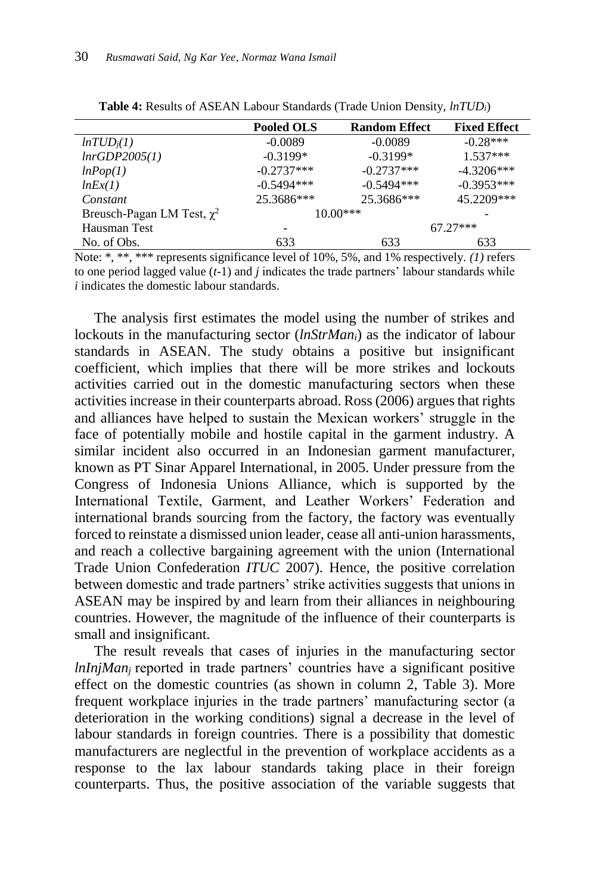|                                 | <b>Pooled OLS</b> | <b>Random Effect</b> | <b>Fixed Effect</b> |
|---------------------------------|-------------------|----------------------|---------------------|
| ln TUD <sub>i</sub> (1)         | $-0.0089$         | $-0.0089$            | $-0.28***$          |
| lnrGDP2005(1)                   | $-0.3199*$        | $-0.3199*$           | $1.537***$          |
| lnPop(1)                        | $-0.2737***$      | $-0.2737***$         | $-4.3206***$        |
| lnEx(1)                         | $-0.5494***$      | $-0.5494***$         | $-0.3953***$        |
| Constant                        | 25.3686***        | 25.3686***           | 45.2209***          |
| Breusch-Pagan LM Test, $\chi^2$ |                   | $10.00***$           |                     |
| Hausman Test                    |                   |                      | $67.27***$          |
| No. of Obs.                     | 633               | 633                  | 633                 |

| Table 4: Results of ASEAN Labour Standards (Trade Union Density, <i>lnTUDi</i> ) |
|----------------------------------------------------------------------------------|
|----------------------------------------------------------------------------------|

Note: \*, \*\*, \*\*\* represents significance level of 10%, 5%, and 1% respectively. *(1)* refers to one period lagged value (*t*-1) and *j* indicates the trade partners' labour standards while *i* indicates the domestic labour standards.

The analysis first estimates the model using the number of strikes and lockouts in the manufacturing sector (*lnStrMani*) as the indicator of labour standards in ASEAN. The study obtains a positive but insignificant coefficient, which implies that there will be more strikes and lockouts activities carried out in the domestic manufacturing sectors when these activities increase in their counterparts abroad. Ross (2006) argues that rights and alliances have helped to sustain the Mexican workers' struggle in the face of potentially mobile and hostile capital in the garment industry. A similar incident also occurred in an Indonesian garment manufacturer, known as PT Sinar Apparel International, in 2005. Under pressure from the Congress of Indonesia Unions Alliance, which is supported by the International Textile, Garment, and Leather Workers' Federation and international brands sourcing from the factory, the factory was eventually forced to reinstate a dismissed union leader, cease all anti-union harassments, and reach a collective bargaining agreement with the union (International Trade Union Confederation *ITUC* 2007). Hence, the positive correlation between domestic and trade partners' strike activities suggests that unions in ASEAN may be inspired by and learn from their alliances in neighbouring countries. However, the magnitude of the influence of their counterparts is small and insignificant.

The result reveals that cases of injuries in the manufacturing sector *lnInjMan<sub>i</sub>* reported in trade partners' countries have a significant positive effect on the domestic countries (as shown in column 2, Table 3). More frequent workplace injuries in the trade partners' manufacturing sector (a deterioration in the working conditions) signal a decrease in the level of labour standards in foreign countries. There is a possibility that domestic manufacturers are neglectful in the prevention of workplace accidents as a response to the lax labour standards taking place in their foreign counterparts. Thus, the positive association of the variable suggests that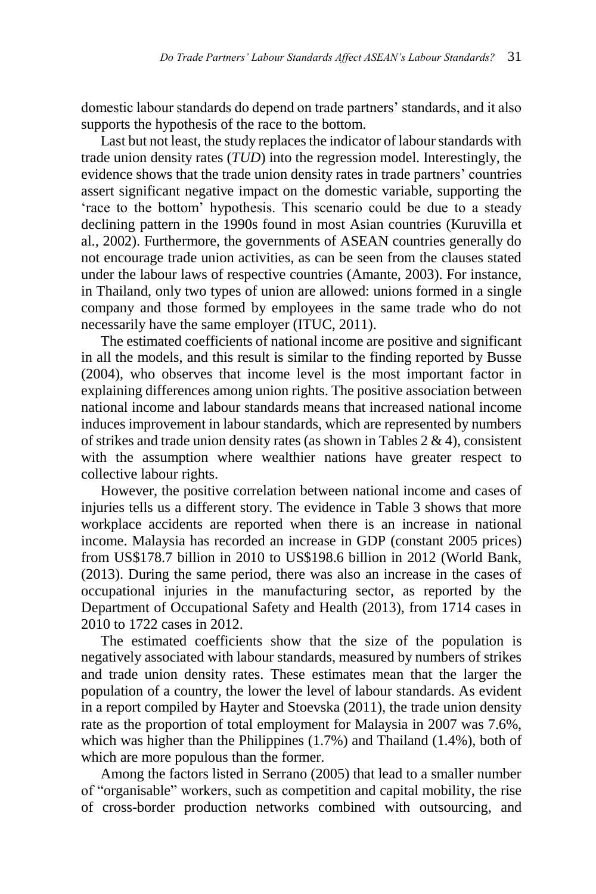domestic labour standards do depend on trade partners' standards, and it also supports the hypothesis of the race to the bottom.

Last but not least, the study replaces the indicator of labour standards with trade union density rates (*TUD*) into the regression model. Interestingly, the evidence shows that the trade union density rates in trade partners' countries assert significant negative impact on the domestic variable, supporting the 'race to the bottom' hypothesis. This scenario could be due to a steady declining pattern in the 1990s found in most Asian countries (Kuruvilla et al.*,* 2002). Furthermore, the governments of ASEAN countries generally do not encourage trade union activities, as can be seen from the clauses stated under the labour laws of respective countries (Amante, 2003). For instance, in Thailand, only two types of union are allowed: unions formed in a single company and those formed by employees in the same trade who do not necessarily have the same employer (ITUC, 2011).

The estimated coefficients of national income are positive and significant in all the models, and this result is similar to the finding reported by Busse (2004), who observes that income level is the most important factor in explaining differences among union rights. The positive association between national income and labour standards means that increased national income induces improvement in labour standards, which are represented by numbers of strikes and trade union density rates (as shown in Tables  $2 \& 4$ ), consistent with the assumption where wealthier nations have greater respect to collective labour rights.

However, the positive correlation between national income and cases of injuries tells us a different story. The evidence in Table 3 shows that more workplace accidents are reported when there is an increase in national income. Malaysia has recorded an increase in GDP (constant 2005 prices) from US\$178.7 billion in 2010 to US\$198.6 billion in 2012 (World Bank, (2013). During the same period, there was also an increase in the cases of occupational injuries in the manufacturing sector, as reported by the Department of Occupational Safety and Health (2013), from 1714 cases in 2010 to 1722 cases in 2012.

The estimated coefficients show that the size of the population is negatively associated with labour standards, measured by numbers of strikes and trade union density rates. These estimates mean that the larger the population of a country, the lower the level of labour standards. As evident in a report compiled by Hayter and Stoevska (2011), the trade union density rate as the proportion of total employment for Malaysia in 2007 was 7.6%, which was higher than the Philippines (1.7%) and Thailand (1.4%), both of which are more populous than the former.

Among the factors listed in Serrano (2005) that lead to a smaller number of "organisable" workers, such as competition and capital mobility, the rise of cross-border production networks combined with outsourcing, and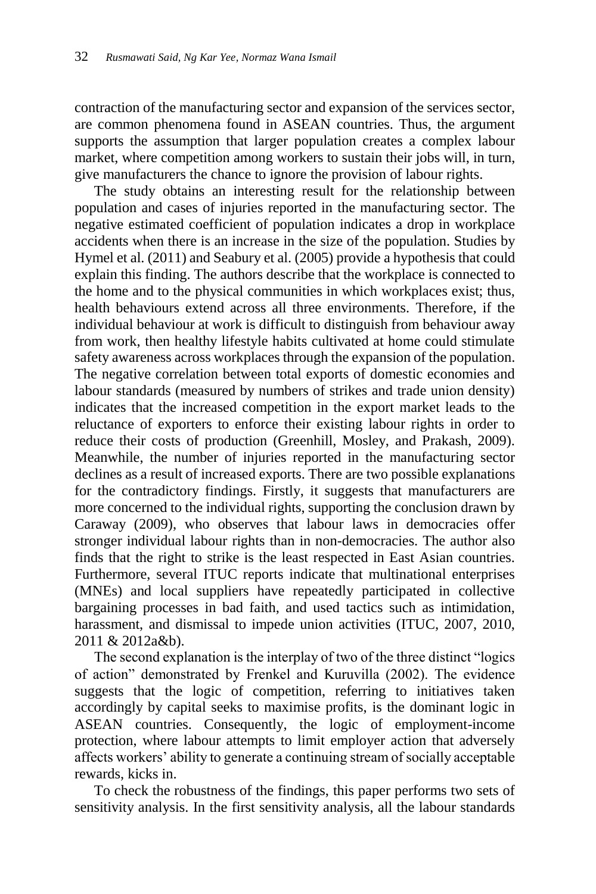contraction of the manufacturing sector and expansion of the services sector, are common phenomena found in ASEAN countries. Thus, the argument supports the assumption that larger population creates a complex labour market, where competition among workers to sustain their jobs will, in turn, give manufacturers the chance to ignore the provision of labour rights.

The study obtains an interesting result for the relationship between population and cases of injuries reported in the manufacturing sector. The negative estimated coefficient of population indicates a drop in workplace accidents when there is an increase in the size of the population. Studies by Hymel et al. (2011) and Seabury et al. (2005) provide a hypothesis that could explain this finding. The authors describe that the workplace is connected to the home and to the physical communities in which workplaces exist; thus, health behaviours extend across all three environments. Therefore, if the individual behaviour at work is difficult to distinguish from behaviour away from work, then healthy lifestyle habits cultivated at home could stimulate safety awareness across workplaces through the expansion of the population. The negative correlation between total exports of domestic economies and labour standards (measured by numbers of strikes and trade union density) indicates that the increased competition in the export market leads to the reluctance of exporters to enforce their existing labour rights in order to reduce their costs of production (Greenhill, Mosley, and Prakash, 2009). Meanwhile, the number of injuries reported in the manufacturing sector declines as a result of increased exports. There are two possible explanations for the contradictory findings. Firstly, it suggests that manufacturers are more concerned to the individual rights, supporting the conclusion drawn by Caraway (2009), who observes that labour laws in democracies offer stronger individual labour rights than in non-democracies. The author also finds that the right to strike is the least respected in East Asian countries. Furthermore, several ITUC reports indicate that multinational enterprises (MNEs) and local suppliers have repeatedly participated in collective bargaining processes in bad faith, and used tactics such as intimidation, harassment, and dismissal to impede union activities (ITUC, 2007, 2010, 2011 & 2012a&b).

The second explanation is the interplay of two of the three distinct "logics of action" demonstrated by Frenkel and Kuruvilla (2002). The evidence suggests that the logic of competition, referring to initiatives taken accordingly by capital seeks to maximise profits, is the dominant logic in ASEAN countries. Consequently, the logic of employment-income protection, where labour attempts to limit employer action that adversely affects workers' ability to generate a continuing stream of socially acceptable rewards, kicks in.

To check the robustness of the findings, this paper performs two sets of sensitivity analysis. In the first sensitivity analysis, all the labour standards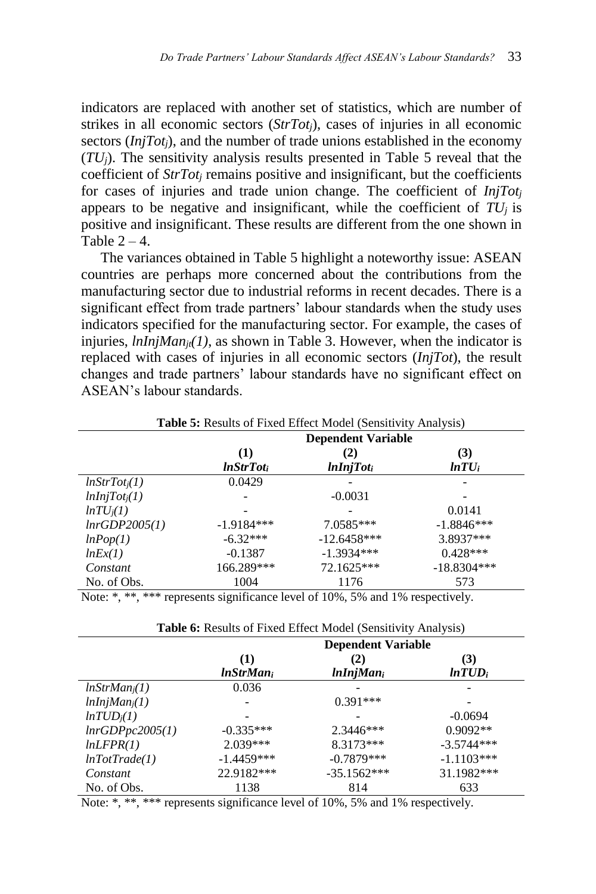indicators are replaced with another set of statistics, which are number of strikes in all economic sectors (*StrTotj*), cases of injuries in all economic sectors (*InjTot<sub>i</sub>*), and the number of trade unions established in the economy  $(TU_i)$ . The sensitivity analysis results presented in Table 5 reveal that the coefficient of *StrTot<sub>i</sub>* remains positive and insignificant, but the coefficients for cases of injuries and trade union change. The coefficient of *InjTot<sup>j</sup>* appears to be negative and insignificant, while the coefficient of  $TU<sub>j</sub>$  is positive and insignificant. These results are different from the one shown in Table  $2 - 4$ .

The variances obtained in Table 5 highlight a noteworthy issue: ASEAN countries are perhaps more concerned about the contributions from the manufacturing sector due to industrial reforms in recent decades. There is a significant effect from trade partners' labour standards when the study uses indicators specified for the manufacturing sector. For example, the cases of injuries, *lnInjManjt(1)*, as shown in Table 3. However, when the indicator is replaced with cases of injuries in all economic sectors (*InjTot*), the result changes and trade partners' labour standards have no significant effect on ASEAN's labour standards.

|                           | <b>Dependent Variable</b> |                              |                  |
|---------------------------|---------------------------|------------------------------|------------------|
|                           | (1)<br><b>InStrTot</b> i  | (2)<br>lnInjTot <sub>i</sub> | (3)<br>$ln TU_i$ |
| lnStrTot <sub>i</sub> (1) | 0.0429                    |                              |                  |
| lnInjTot <sub>i</sub> (1) |                           | $-0.0031$                    |                  |
| $ln TU_i(1)$              |                           |                              | 0.0141           |
| lnrGDP2005(1)             | $-1.9184***$              | 7.0585***                    | $-1.8846***$     |
| lnPop(1)                  | $-6.32***$                | $-12.6458***$                | 3.8937***        |
| lnEx(1)                   | $-0.1387$                 | $-1.3934***$                 | $0.428***$       |
| Constant                  | 166.289***                | 72.1625***                   | $-18.8304***$    |
| No. of Obs.               | 1004                      | 1176                         | 573              |

| Table 5: Results of Fixed Effect Model (Sensitivity Analysis) |  |  |  |
|---------------------------------------------------------------|--|--|--|
|                                                               |  |  |  |

Note: \*, \*\*, \*\*\* represents significance level of 10%, 5% and 1% respectively.

| <b>I able 0.</b> Nesults of Fixed Effect Model (Selisitivity Alialysis) |                           |               |              |  |
|-------------------------------------------------------------------------|---------------------------|---------------|--------------|--|
|                                                                         | <b>Dependent Variable</b> |               |              |  |
|                                                                         | (1)                       | (2)           | (3)          |  |
|                                                                         | <i>InStrMani</i>          | $lnInjMan_i$  | $ln TUD_i$   |  |
| $lnStrMan_i(1)$                                                         | 0.036                     |               |              |  |
| lnInjMan <sub>i</sub> (1)                                               |                           | $0.391***$    |              |  |
| ln TUD <sub>i</sub> (1)                                                 |                           |               | $-0.0694$    |  |
| lnrGDPpc2005(1)                                                         | $-0.335***$               | $2.3446***$   | $0.9092**$   |  |
| lnLFPR(1)                                                               | $2.039***$                | 8.3173***     | $-3.5744***$ |  |
| lnTotTrade(1)                                                           | $-1.4459***$              | $-0.7879***$  | $-1.1103***$ |  |
| Constant                                                                | 22.9182***                | $-35.1562***$ | 31.1982***   |  |
| No. of Obs.                                                             | 1138                      | 814           | 633          |  |

**Table 6:** Results of Fixed Effect Model (Sensitivity Analysis)

Note: \*, \*\*, \*\*\* represents significance level of 10%, 5% and 1% respectively.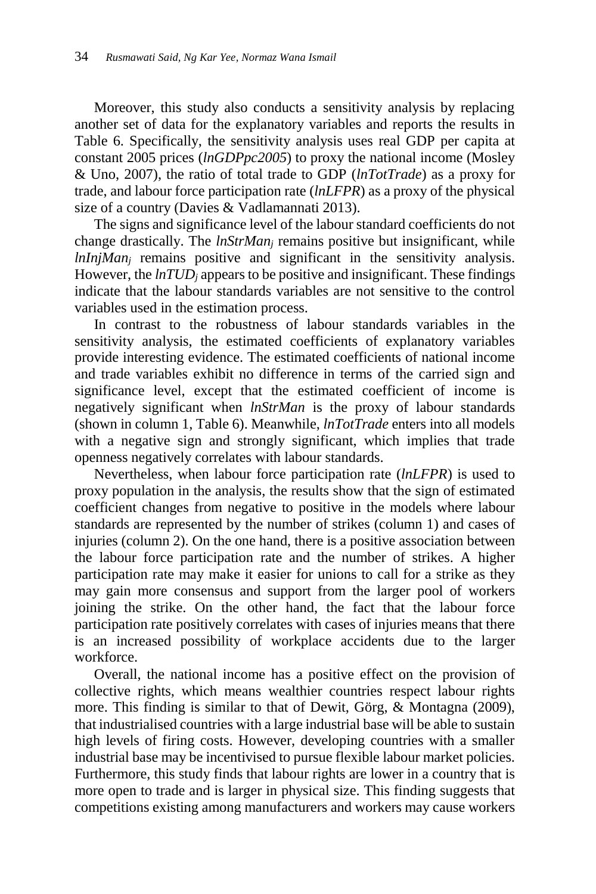Moreover, this study also conducts a sensitivity analysis by replacing another set of data for the explanatory variables and reports the results in Table 6. Specifically, the sensitivity analysis uses real GDP per capita at constant 2005 prices (*lnGDPpc2005*) to proxy the national income (Mosley & Uno, 2007), the ratio of total trade to GDP (*lnTotTrade*) as a proxy for trade, and labour force participation rate (*lnLFPR*) as a proxy of the physical size of a country (Davies & Vadlamannati 2013).

The signs and significance level of the labour standard coefficients do not change drastically. The *lnStrMan<sup>j</sup>* remains positive but insignificant, while *lnInjMan<sub>i</sub>* remains positive and significant in the sensitivity analysis. However, the *lnTUD<sup>j</sup>* appears to be positive and insignificant. These findings indicate that the labour standards variables are not sensitive to the control variables used in the estimation process.

In contrast to the robustness of labour standards variables in the sensitivity analysis, the estimated coefficients of explanatory variables provide interesting evidence. The estimated coefficients of national income and trade variables exhibit no difference in terms of the carried sign and significance level, except that the estimated coefficient of income is negatively significant when *lnStrMan* is the proxy of labour standards (shown in column 1, Table 6). Meanwhile, *lnTotTrade* enters into all models with a negative sign and strongly significant, which implies that trade openness negatively correlates with labour standards.

Nevertheless, when labour force participation rate (*lnLFPR*) is used to proxy population in the analysis, the results show that the sign of estimated coefficient changes from negative to positive in the models where labour standards are represented by the number of strikes (column 1) and cases of injuries (column 2). On the one hand, there is a positive association between the labour force participation rate and the number of strikes. A higher participation rate may make it easier for unions to call for a strike as they may gain more consensus and support from the larger pool of workers joining the strike. On the other hand, the fact that the labour force participation rate positively correlates with cases of injuries means that there is an increased possibility of workplace accidents due to the larger workforce.

Overall, the national income has a positive effect on the provision of collective rights, which means wealthier countries respect labour rights more. This finding is similar to that of Dewit, Görg, & Montagna (2009), that industrialised countries with a large industrial base will be able to sustain high levels of firing costs. However, developing countries with a smaller industrial base may be incentivised to pursue flexible labour market policies. Furthermore, this study finds that labour rights are lower in a country that is more open to trade and is larger in physical size. This finding suggests that competitions existing among manufacturers and workers may cause workers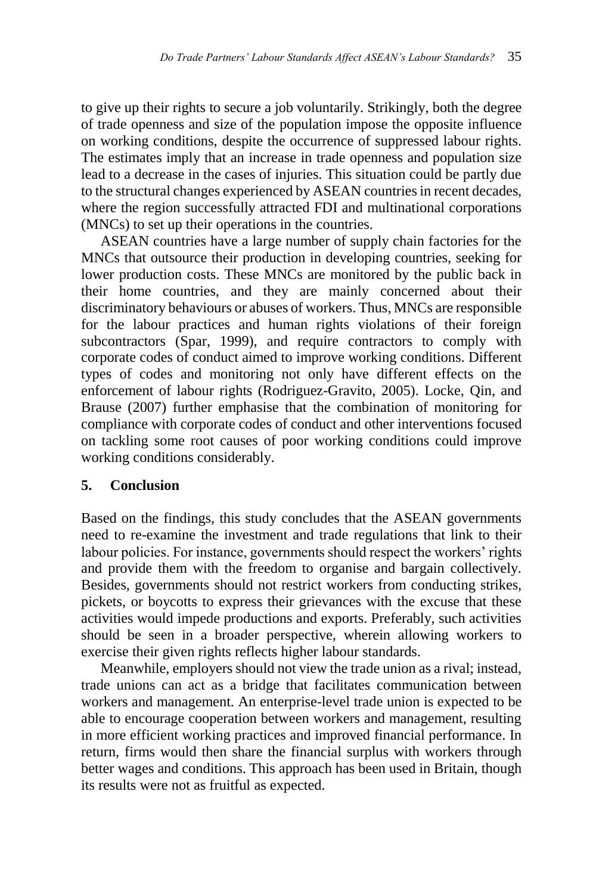to give up their rights to secure a job voluntarily. Strikingly, both the degree of trade openness and size of the population impose the opposite influence on working conditions, despite the occurrence of suppressed labour rights. The estimates imply that an increase in trade openness and population size lead to a decrease in the cases of injuries. This situation could be partly due to the structural changes experienced by ASEAN countries in recent decades, where the region successfully attracted FDI and multinational corporations (MNCs) to set up their operations in the countries.

ASEAN countries have a large number of supply chain factories for the MNCs that outsource their production in developing countries, seeking for lower production costs. These MNCs are monitored by the public back in their home countries, and they are mainly concerned about their discriminatory behaviours or abuses of workers. Thus, MNCs are responsible for the labour practices and human rights violations of their foreign subcontractors (Spar, 1999), and require contractors to comply with corporate codes of conduct aimed to improve working conditions. Different types of codes and monitoring not only have different effects on the enforcement of labour rights (Rodriguez-Gravito, 2005). Locke, Qin, and Brause (2007) further emphasise that the combination of monitoring for compliance with corporate codes of conduct and other interventions focused on tackling some root causes of poor working conditions could improve working conditions considerably.

## **5. Conclusion**

Based on the findings, this study concludes that the ASEAN governments need to re-examine the investment and trade regulations that link to their labour policies. For instance, governments should respect the workers' rights and provide them with the freedom to organise and bargain collectively. Besides, governments should not restrict workers from conducting strikes, pickets, or boycotts to express their grievances with the excuse that these activities would impede productions and exports. Preferably, such activities should be seen in a broader perspective, wherein allowing workers to exercise their given rights reflects higher labour standards.

Meanwhile, employers should not view the trade union as a rival; instead, trade unions can act as a bridge that facilitates communication between workers and management. An enterprise-level trade union is expected to be able to encourage cooperation between workers and management, resulting in more efficient working practices and improved financial performance. In return, firms would then share the financial surplus with workers through better wages and conditions. This approach has been used in Britain, though its results were not as fruitful as expected.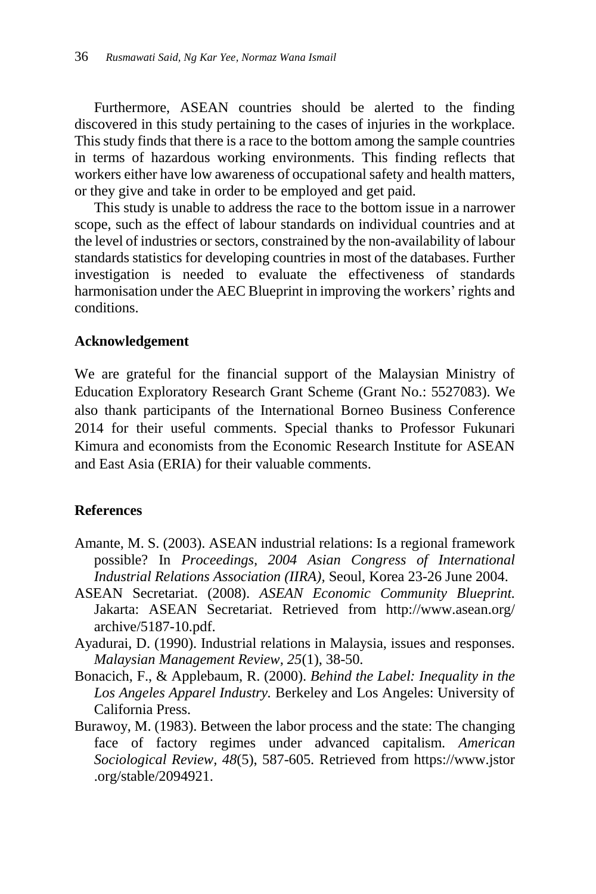Furthermore, ASEAN countries should be alerted to the finding discovered in this study pertaining to the cases of injuries in the workplace. This study finds that there is a race to the bottom among the sample countries in terms of hazardous working environments. This finding reflects that workers either have low awareness of occupational safety and health matters, or they give and take in order to be employed and get paid.

This study is unable to address the race to the bottom issue in a narrower scope, such as the effect of labour standards on individual countries and at the level of industries or sectors, constrained by the non-availability of labour standards statistics for developing countries in most of the databases. Further investigation is needed to evaluate the effectiveness of standards harmonisation under the AEC Blueprint in improving the workers' rights and conditions.

### **Acknowledgement**

We are grateful for the financial support of the Malaysian Ministry of Education Exploratory Research Grant Scheme (Grant No.: 5527083). We also thank participants of the International Borneo Business Conference 2014 for their useful comments. Special thanks to Professor Fukunari Kimura and economists from the Economic Research Institute for ASEAN and East Asia (ERIA) for their valuable comments.

### **References**

- Amante, M. S. (2003). ASEAN industrial relations: Is a regional framework possible? In *Proceedings, 2004 Asian Congress of International Industrial Relations Association (IIRA),* Seoul, Korea 23-26 June 2004.
- ASEAN Secretariat. (2008). *ASEAN Economic Community Blueprint.* Jakarta: ASEAN Secretariat. Retrieved from http://www.asean.org/ archive/5187-10.pdf.
- Ayadurai, D. (1990). Industrial relations in Malaysia, issues and responses. *Malaysian Management Review, 25*(1), 38-50.
- Bonacich, F., & Applebaum, R. (2000). *Behind the Label: Inequality in the Los Angeles Apparel Industry.* Berkeley and Los Angeles: University of California Press.
- Burawoy, M. (1983). Between the labor process and the state: The changing face of factory regimes under advanced capitalism. *American Sociological Review, 48*(5), 587-605. Retrieved from https://www.jstor .org/stable/2094921.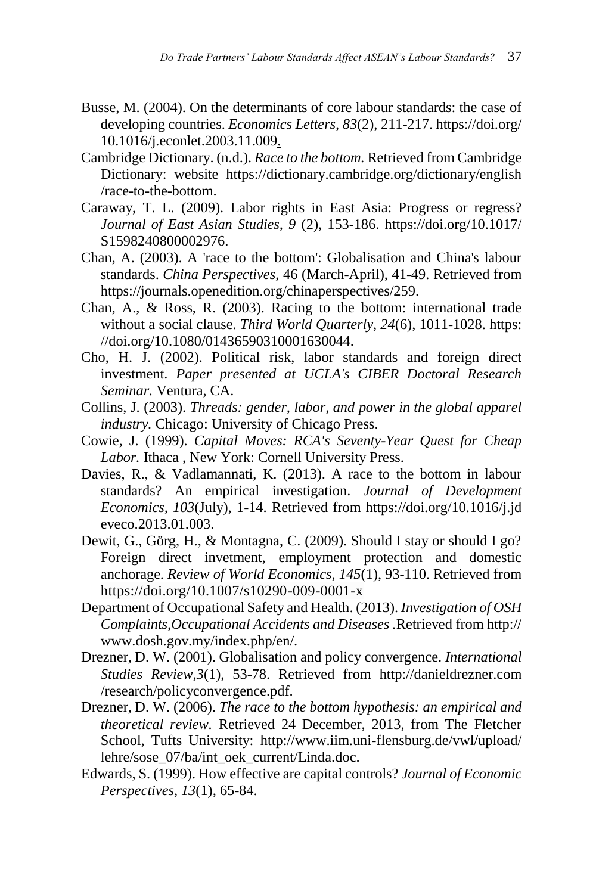- Busse, M. (2004). On the determinants of core labour standards: the case of developing countries. *Economics Letters, 83*(2), 211-217. https://doi.org/ 10.1016/j.econlet.2003.11.009.
- Cambridge Dictionary. (n.d.). *Race to the bottom.* Retrieved from Cambridge Dictionary: website https://dictionary.cambridge.org/dictionary/english /race-to-the-bottom.
- Caraway, T. L. (2009). Labor rights in East Asia: Progress or regress? *Journal of East Asian Studies, 9* (2), 153-186. https://doi.org/10.1017/ S1598240800002976.
- Chan, A. (2003). A 'race to the bottom': Globalisation and China's labour standards. *China Perspectives,* 46 (March-April), 41-49. Retrieved from https://journals.openedition.org/chinaperspectives/259.
- Chan, A., & Ross, R. (2003). Racing to the bottom: international trade without a social clause. *Third World Quarterly, 24*(6), 1011-1028. https: //doi.org/10.1080/01436590310001630044.
- Cho, H. J. (2002). Political risk, labor standards and foreign direct investment. *Paper presented at UCLA's CIBER Doctoral Research Seminar.* Ventura, CA.
- Collins, J. (2003). *Threads: gender, labor, and power in the global apparel industry.* Chicago: University of Chicago Press.
- Cowie, J. (1999). *Capital Moves: RCA's Seventy-Year Quest for Cheap Labor.* Ithaca , New York: Cornell University Press.
- Davies, R., & Vadlamannati, K. (2013). A race to the bottom in labour standards? An empirical investigation. *Journal of Development Economics, 103*(July), 1-14. Retrieved from https://doi.org/10.1016/j.jd eveco.2013.01.003.
- Dewit, G., Görg, H., & Montagna, C. (2009). Should I stay or should I go? Foreign direct invetment, employment protection and domestic anchorage. *Review of World Economics, 145*(1), 93-110. Retrieved from https://doi.org/10.1007/s10290-009-0001-x
- Department of Occupational Safety and Health. (2013). *Investigation of OSH Complaints,Occupational Accidents and Diseases .*Retrieved from http:// www.dosh.gov.my/index.php/en/.
- Drezner, D. W. (2001). Globalisation and policy convergence. *International Studies Review,3*(1), 53-78. Retrieved from http://danieldrezner.com /research/policyconvergence.pdf.
- Drezner, D. W. (2006). *The race to the bottom hypothesis: an empirical and theoretical review.* Retrieved 24 December, 2013, from The Fletcher School, Tufts University: http://www.iim.uni-flensburg.de/vwl/upload/ lehre/sose\_07/ba/int\_oek\_current/Linda.doc.
- Edwards, S. (1999). How effective are capital controls? *Journal of Economic Perspectives, 13*(1), 65-84.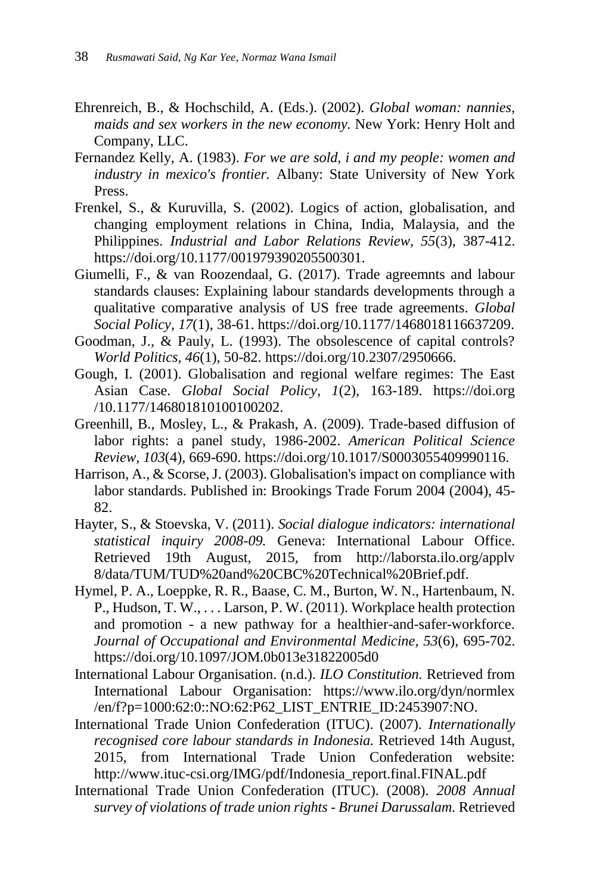- Ehrenreich, B., & Hochschild, A. (Eds.). (2002). *Global woman: nannies, maids and sex workers in the new economy.* New York: Henry Holt and Company, LLC.
- Fernandez Kelly, A. (1983). *For we are sold, i and my people: women and industry in mexico's frontier.* Albany: State University of New York Press.
- Frenkel, S., & Kuruvilla, S. (2002). Logics of action, globalisation, and changing employment relations in China, India, Malaysia, and the Philippines. *Industrial and Labor Relations Review, 55*(3), 387-412. https://doi.org/10.1177/001979390205500301.
- Giumelli, F., & van Roozendaal, G. (2017). Trade agreemnts and labour standards clauses: Explaining labour standards developments through a qualitative comparative analysis of US free trade agreements. *Global Social Policy, 17*(1), 38-61. https://doi.org/10.1177/1468018116637209.
- Goodman, J., & Pauly, L. (1993). The obsolescence of capital controls? *World Politics, 46*(1), 50-82. https://doi.org/10.2307/2950666.
- Gough, I. (2001). Globalisation and regional welfare regimes: The East Asian Case. *Global Social Policy, 1*(2), 163-189. https://doi.org /10.1177/146801810100100202.
- Greenhill, B., Mosley, L., & Prakash, A. (2009). Trade-based diffusion of labor rights: a panel study, 1986-2002. *American Political Science Review, 103*(4), 669-690. https://doi.org/10.1017/S0003055409990116.
- Harrison, A., & Scorse, J. (2003). Globalisation's impact on compliance with labor standards. Published in: Brookings Trade Forum 2004 (2004), 45- 82.
- Hayter, S., & Stoevska, V. (2011). *Social dialogue indicators: international statistical inquiry 2008-09.* Geneva: International Labour Office. Retrieved 19th August, 2015, from http://laborsta.ilo.org/applv 8/data/TUM/TUD%20and%20CBC%20Technical%20Brief.pdf.
- Hymel, P. A., Loeppke, R. R., Baase, C. M., Burton, W. N., Hartenbaum, N. P., Hudson, T. W., . . . Larson, P. W. (2011). Workplace health protection and promotion - a new pathway for a healthier-and-safer-workforce. *Journal of Occupational and Environmental Medicine, 53*(6), 695-702. https://doi.org/10.1097/JOM.0b013e31822005d0
- International Labour Organisation. (n.d.). *ILO Constitution.* Retrieved from International Labour Organisation: https://www.ilo.org/dyn/normlex /en/f?p=1000:62:0::NO:62:P62\_LIST\_ENTRIE\_ID:2453907:NO.
- International Trade Union Confederation (ITUC). (2007). *Internationally recognised core labour standards in Indonesia.* Retrieved 14th August, 2015, from International Trade Union Confederation website: http://www.ituc-csi.org/IMG/pdf/Indonesia\_report.final.FINAL.pdf
- International Trade Union Confederation (ITUC). (2008). *2008 Annual survey of violations of trade union rights - Brunei Darussalam.* Retrieved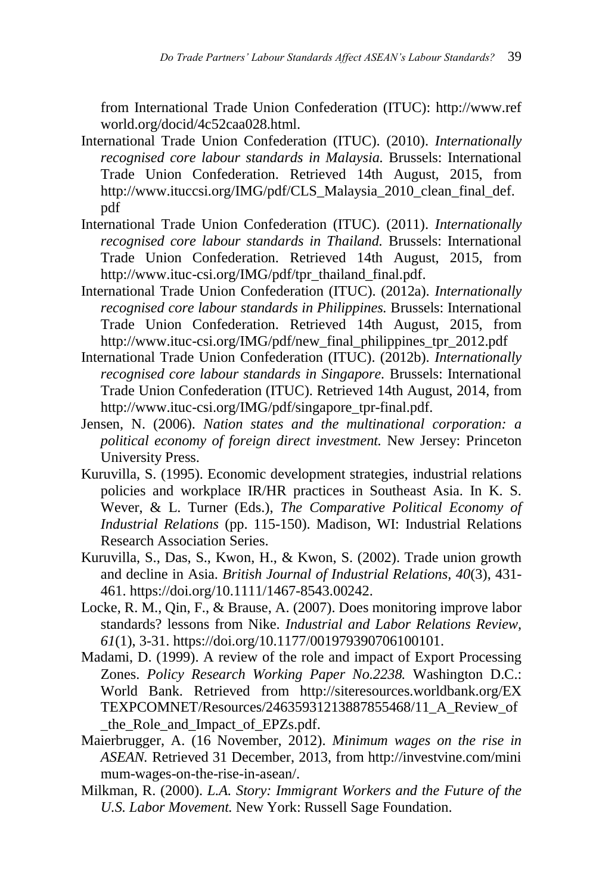from International Trade Union Confederation (ITUC): http://www.ref world.org/docid/4c52caa028.html.

- International Trade Union Confederation (ITUC). (2010). *Internationally recognised core labour standards in Malaysia.* Brussels: International Trade Union Confederation. Retrieved 14th August, 2015, from http://www.ituccsi.org/IMG/pdf/CLS\_Malaysia\_2010\_clean\_final\_def. pdf
- International Trade Union Confederation (ITUC). (2011). *Internationally recognised core labour standards in Thailand.* Brussels: International Trade Union Confederation. Retrieved 14th August, 2015, from http://www.ituc-csi.org/IMG/pdf/tpr\_thailand\_final.pdf.
- International Trade Union Confederation (ITUC). (2012a). *Internationally recognised core labour standards in Philippines.* Brussels: International Trade Union Confederation. Retrieved 14th August, 2015, from http://www.ituc-csi.org/IMG/pdf/new\_final\_philippines\_tpr\_2012.pdf
- International Trade Union Confederation (ITUC). (2012b). *Internationally recognised core labour standards in Singapore.* Brussels: International Trade Union Confederation (ITUC). Retrieved 14th August, 2014, from http://www.ituc-csi.org/IMG/pdf/singapore\_tpr-final.pdf.
- Jensen, N. (2006). *Nation states and the multinational corporation: a political economy of foreign direct investment.* New Jersey: Princeton University Press.
- Kuruvilla, S. (1995). Economic development strategies, industrial relations policies and workplace IR/HR practices in Southeast Asia. In K. S. Wever, & L. Turner (Eds.), *The Comparative Political Economy of Industrial Relations* (pp. 115-150). Madison, WI: Industrial Relations Research Association Series.
- Kuruvilla, S., Das, S., Kwon, H., & Kwon, S. (2002). Trade union growth and decline in Asia. *British Journal of Industrial Relations, 40*(3), 431- 461. https://doi.org/10.1111/1467-8543.00242.
- Locke, R. M., Qin, F., & Brause, A. (2007). Does monitoring improve labor standards? lessons from Nike. *Industrial and Labor Relations Review, 61*(1), 3-31. https://doi.org/10.1177/001979390706100101.
- Madami, D. (1999). A review of the role and impact of Export Processing Zones. *Policy Research Working Paper No.2238.* Washington D.C.: World Bank. Retrieved from http://siteresources.worldbank.org/EX TEXPCOMNET/Resources/24635931213887855468/11\_A\_Review\_of \_the\_Role\_and\_Impact\_of\_EPZs.pdf.
- Maierbrugger, A. (16 November, 2012). *Minimum wages on the rise in ASEAN.* Retrieved 31 December, 2013, from http://investvine.com/mini mum-wages-on-the-rise-in-asean/.
- Milkman, R. (2000). *L.A. Story: Immigrant Workers and the Future of the U.S. Labor Movement.* New York: Russell Sage Foundation.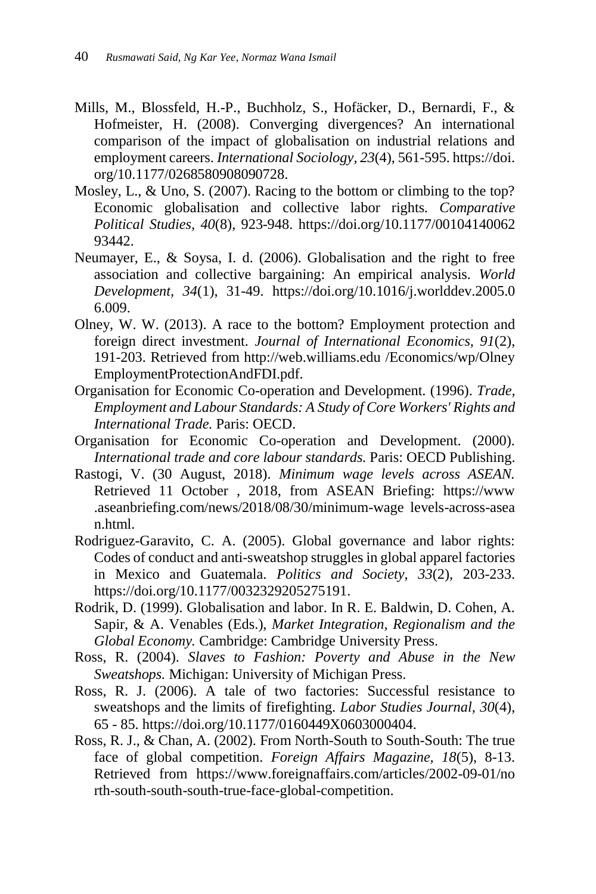- Mills, M., Blossfeld, H.-P., Buchholz, S., Hofäcker, D., Bernardi, F., & Hofmeister, H. (2008). Converging divergences? An international comparison of the impact of globalisation on industrial relations and employment careers. *International Sociology, 23*(4), 561-595. https://doi. org/10.1177/0268580908090728.
- Mosley, L., & Uno, S. (2007). Racing to the bottom or climbing to the top? Economic globalisation and collective labor rights. *Comparative Political Studies, 40*(8), 923-948. https://doi.org/10.1177/00104140062 93442.
- Neumayer, E., & Soysa, I. d. (2006). Globalisation and the right to free association and collective bargaining: An empirical analysis. *World Development, 34*(1), 31-49. https://doi.org/10.1016/j.worlddev.2005.0 6.009.
- Olney, W. W. (2013). A race to the bottom? Employment protection and foreign direct investment. *Journal of International Economics, 91*(2), 191-203. Retrieved from http://web.williams.edu /Economics/wp/Olney EmploymentProtectionAndFDI.pdf.
- Organisation for Economic Co-operation and Development. (1996). *Trade, Employment and Labour Standards: A Study of Core Workers' Rights and International Trade.* Paris: OECD.
- Organisation for Economic Co-operation and Development. (2000). *International trade and core labour standards.* Paris: OECD Publishing.
- Rastogi, V. (30 August, 2018). *Minimum wage levels across ASEAN.* Retrieved 11 October , 2018, from ASEAN Briefing: https://www .aseanbriefing.com/news/2018/08/30/minimum-wage levels-across-asea n.html.
- Rodriguez-Garavito, C. A. (2005). Global governance and labor rights: Codes of conduct and anti-sweatshop struggles in global apparel factories in Mexico and Guatemala. *Politics and Society, 33*(2), 203-233. https://doi.org/10.1177/0032329205275191.
- Rodrik, D. (1999). Globalisation and labor. In R. E. Baldwin, D. Cohen, A. Sapir, & A. Venables (Eds.), *Market Integration, Regionalism and the Global Economy.* Cambridge: Cambridge University Press.
- Ross, R. (2004). *Slaves to Fashion: Poverty and Abuse in the New Sweatshops.* Michigan: University of Michigan Press.
- Ross, R. J. (2006). A tale of two factories: Successful resistance to sweatshops and the limits of firefighting. *Labor Studies Journal, 30*(4), 65 - 85. https://doi.org/10.1177/0160449X0603000404.
- Ross, R. J., & Chan, A. (2002). From North-South to South-South: The true face of global competition. *Foreign Affairs Magazine, 18*(5), 8-13. Retrieved from https://www.foreignaffairs.com/articles/2002-09-01/no rth-south-south-south-true-face-global-competition.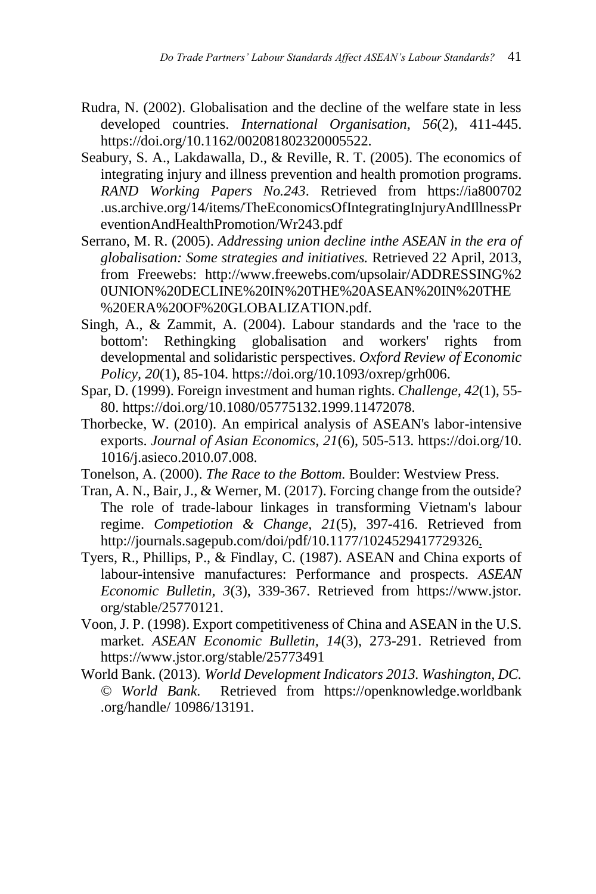- Rudra, N. (2002). Globalisation and the decline of the welfare state in less developed countries. *International Organisation, 56*(2), 411-445. https://doi.org/10.1162/002081802320005522.
- Seabury, S. A., Lakdawalla, D., & Reville, R. T. (2005). The economics of integrating injury and illness prevention and health promotion programs. *RAND Working Papers No.243*. Retrieved from https://ia800702 .us.archive.org/14/items/TheEconomicsOfIntegratingInjuryAndIllnessPr eventionAndHealthPromotion/Wr243.pdf
- Serrano, M. R. (2005). *Addressing union decline inthe ASEAN in the era of globalisation: Some strategies and initiatives.* Retrieved 22 April, 2013, from Freewebs: http://www.freewebs.com/upsolair/ADDRESSING%2 0UNION%20DECLINE%20IN%20THE%20ASEAN%20IN%20THE %20ERA%20OF%20GLOBALIZATION.pdf.
- Singh, A., & Zammit, A. (2004). Labour standards and the 'race to the bottom': Rethingking globalisation and workers' rights from developmental and solidaristic perspectives. *Oxford Review of Economic Policy, 20*(1), 85-104. https://doi.org/10.1093/oxrep/grh006.
- Spar, D. (1999). Foreign investment and human rights. *Challenge, 42*(1), 55- 80. https://doi.org/10.1080/05775132.1999.11472078.
- Thorbecke, W. (2010). An empirical analysis of ASEAN's labor-intensive exports. *Journal of Asian Economics, 21*(6), 505-513. https://doi.org/10. 1016/j.asieco.2010.07.008.
- Tonelson, A. (2000). *The Race to the Bottom.* Boulder: Westview Press.
- Tran, A. N., Bair, J., & Werner, M. (2017). Forcing change from the outside? The role of trade-labour linkages in transforming Vietnam's labour regime. *Competiotion & Change, 21*(5), 397-416. Retrieved from http://journals.sagepub.com/doi/pdf/10.1177/1024529417729326.
- Tyers, R., Phillips, P., & Findlay, C. (1987). ASEAN and China exports of labour-intensive manufactures: Performance and prospects. *ASEAN Economic Bulletin, 3*(3), 339-367. Retrieved from https://www.jstor. org/stable/25770121.
- Voon, J. P. (1998). Export competitiveness of China and ASEAN in the U.S. market. *ASEAN Economic Bulletin, 14*(3), 273-291. Retrieved from https://www.jstor.org/stable/25773491
- World Bank. (2013)*. World Development Indicators 2013. Washington, DC. © World Bank.* Retrieved from https://openknowledge.worldbank .org/handle/ 10986/13191.